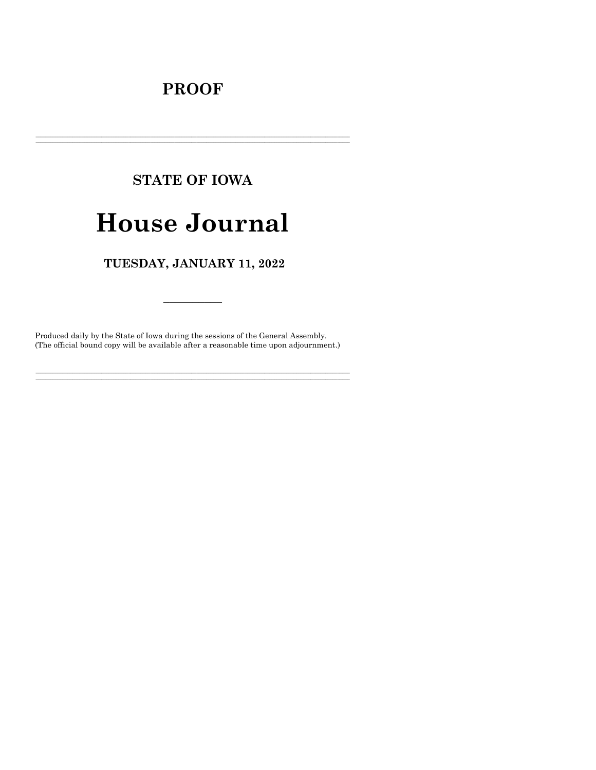# **PROOF**

# **STATE OF IOWA**

# **House Journal**

## TUESDAY, JANUARY 11, 2022

Produced daily by the State of Iowa during the sessions of the General Assembly. (The official bound copy will be available after a reasonable time upon adjournment.)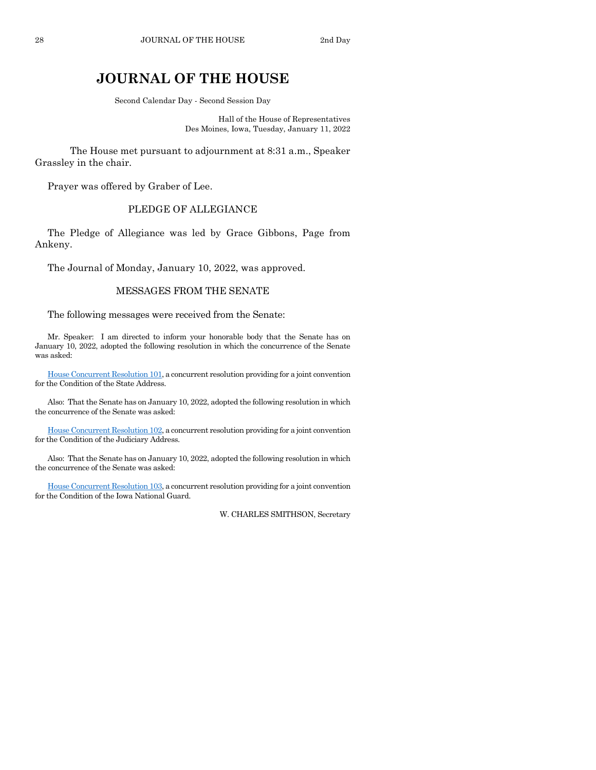## **JOURNAL OF THE HOUSE**

Second Calendar Day - Second Session Day

Hall of the House of Representatives Des Moines, Iowa, Tuesday, January 11, 2022

The House met pursuant to adjournment at 8:31 a.m., Speaker Grassley in the chair.

Prayer was offered by Graber of Lee.

## PLEDGE OF ALLEGIANCE

The Pledge of Allegiance was led by Grace Gibbons, Page from Ankeny.

The Journal of Monday, January 10, 2022, was approved.

## MESSAGES FROM THE SENATE

The following messages were received from the Senate:

Mr. Speaker: I am directed to inform your honorable body that the Senate has on January 10, 2022, adopted the following resolution in which the concurrence of the Senate was asked:

[House Concurrent Resolution 101,](https://www.legis.iowa.gov/legislation/BillBook?ga=89&ba=HCR101) a concurrent resolution providing for a joint convention for the Condition of the State Address.

Also: That the Senate has on January 10, 2022, adopted the following resolution in which the concurrence of the Senate was asked:

[House Concurrent Resolution 102,](https://www.legis.iowa.gov/legislation/BillBook?ga=89&ba=HCR102) a concurrent resolution providing for a joint convention for the Condition of the Judiciary Address.

Also: That the Senate has on January 10, 2022, adopted the following resolution in which the concurrence of the Senate was asked:

[House Concurrent Resolution 103,](https://www.legis.iowa.gov/legislation/BillBook?ga=89&ba=HCR103) a concurrent resolution providing for a joint convention for the Condition of the Iowa National Guard.

W. CHARLES SMITHSON, Secretary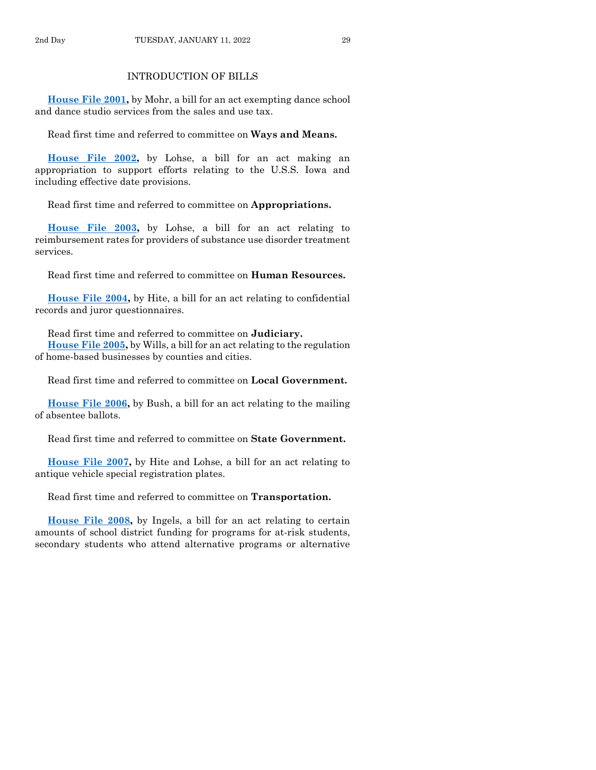**[House File 2001,](https://www.legis.iowa.gov/legislation/BillBook?ga=89&ba=HF2001)** by Mohr, a bill for an act exempting dance school and dance studio services from the sales and use tax.

Read first time and referred to committee on **Ways and Means.**

**[House File 2002,](https://www.legis.iowa.gov/legislation/BillBook?ga=89&ba=HF2002)** by Lohse, a bill for an act making an appropriation to support efforts relating to the U.S.S. Iowa and including effective date provisions.

Read first time and referred to committee on **Appropriations.**

**[House File 2003,](https://www.legis.iowa.gov/legislation/BillBook?ga=89&ba=HF2003)** by Lohse, a bill for an act relating to reimbursement rates for providers of substance use disorder treatment services.

Read first time and referred to committee on **Human Resources.**

**[House File 2004,](https://www.legis.iowa.gov/legislation/BillBook?ga=89&ba=HF2004)** by Hite, a bill for an act relating to confidential records and juror questionnaires.

Read first time and referred to committee on **Judiciary. [House File 2005,](https://www.legis.iowa.gov/legislation/BillBook?ga=89&ba=HF2005)** by Wills, a bill for an act relating to the regulation of home-based businesses by counties and cities.

Read first time and referred to committee on **Local Government.**

**[House File 2006,](https://www.legis.iowa.gov/legislation/BillBook?ga=89&ba=HF2006)** by Bush, a bill for an act relating to the mailing of absentee ballots.

Read first time and referred to committee on **State Government.**

**[House File 2007,](https://www.legis.iowa.gov/legislation/BillBook?ga=89&ba=HF2007)** by Hite and Lohse, a bill for an act relating to antique vehicle special registration plates.

Read first time and referred to committee on **Transportation.**

**[House File 2008,](https://www.legis.iowa.gov/legislation/BillBook?ga=89&ba=HF2008)** by Ingels, a bill for an act relating to certain amounts of school district funding for programs for at-risk students, secondary students who attend alternative programs or alternative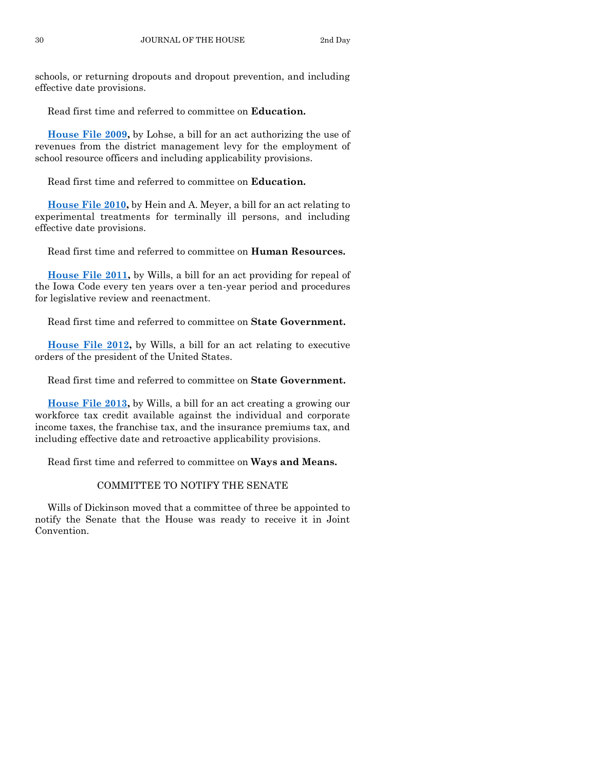schools, or returning dropouts and dropout prevention, and including effective date provisions.

Read first time and referred to committee on **Education.**

**[House File 2009,](https://www.legis.iowa.gov/legislation/BillBook?ga=89&ba=HF2009)** by Lohse, a bill for an act authorizing the use of revenues from the district management levy for the employment of school resource officers and including applicability provisions.

Read first time and referred to committee on **Education.**

**[House File 2010,](https://www.legis.iowa.gov/legislation/BillBook?ga=89&ba=HF2010)** by Hein and A. Meyer, a bill for an act relating to experimental treatments for terminally ill persons, and including effective date provisions.

Read first time and referred to committee on **Human Resources.**

**[House File 2011,](https://www.legis.iowa.gov/legislation/BillBook?ga=89&ba=HF2011)** by Wills, a bill for an act providing for repeal of the Iowa Code every ten years over a ten-year period and procedures for legislative review and reenactment.

Read first time and referred to committee on **State Government.**

**[House File 2012,](https://www.legis.iowa.gov/legislation/BillBook?ga=89&ba=HF2012)** by Wills, a bill for an act relating to executive orders of the president of the United States.

Read first time and referred to committee on **State Government.**

**[House File 2013,](https://www.legis.iowa.gov/legislation/BillBook?ga=89&ba=HF2013)** by Wills, a bill for an act creating a growing our workforce tax credit available against the individual and corporate income taxes, the franchise tax, and the insurance premiums tax, and including effective date and retroactive applicability provisions.

Read first time and referred to committee on **Ways and Means.**

## COMMITTEE TO NOTIFY THE SENATE

Wills of Dickinson moved that a committee of three be appointed to notify the Senate that the House was ready to receive it in Joint Convention.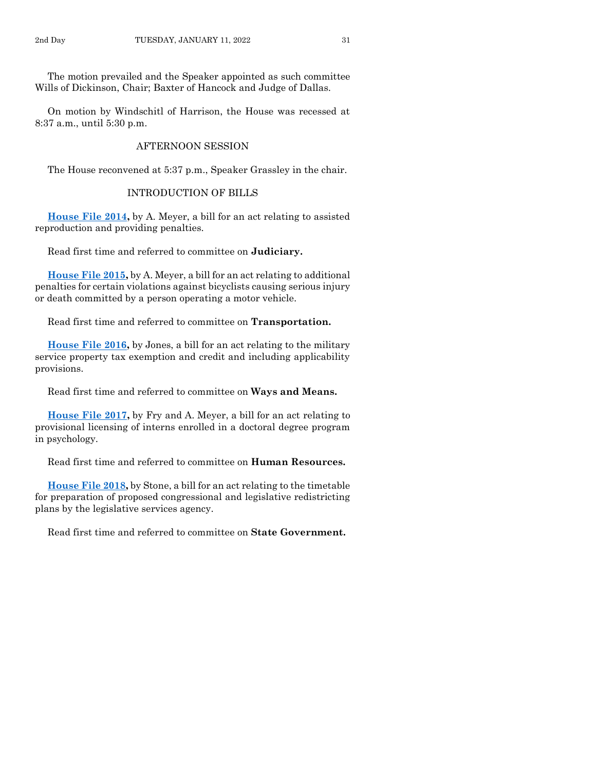The motion prevailed and the Speaker appointed as such committee Wills of Dickinson, Chair; Baxter of Hancock and Judge of Dallas.

On motion by Windschitl of Harrison, the House was recessed at 8:37 a.m., until 5:30 p.m.

## AFTERNOON SESSION

The House reconvened at 5:37 p.m., Speaker Grassley in the chair.

## INTRODUCTION OF BILLS

**[House File 2014,](https://www.legis.iowa.gov/legislation/BillBook?ga=89&ba=HF2014)** by A. Meyer, a bill for an act relating to assisted reproduction and providing penalties.

Read first time and referred to committee on **Judiciary.**

**[House File 2015,](https://www.legis.iowa.gov/legislation/BillBook?ga=89&ba=HF2015)** by A. Meyer, a bill for an act relating to additional penalties for certain violations against bicyclists causing serious injury or death committed by a person operating a motor vehicle.

Read first time and referred to committee on **Transportation.**

**[House File 2016,](https://www.legis.iowa.gov/legislation/BillBook?ga=89&ba=HF2016)** by Jones, a bill for an act relating to the military service property tax exemption and credit and including applicability provisions.

Read first time and referred to committee on **Ways and Means.**

**[House File 2017,](https://www.legis.iowa.gov/legislation/BillBook?ga=89&ba=HF2017)** by Fry and A. Meyer, a bill for an act relating to provisional licensing of interns enrolled in a doctoral degree program in psychology.

Read first time and referred to committee on **Human Resources.**

**[House File 2018,](https://www.legis.iowa.gov/legislation/BillBook?ga=89&ba=HF2018)** by Stone, a bill for an act relating to the timetable for preparation of proposed congressional and legislative redistricting plans by the legislative services agency.

Read first time and referred to committee on **State Government.**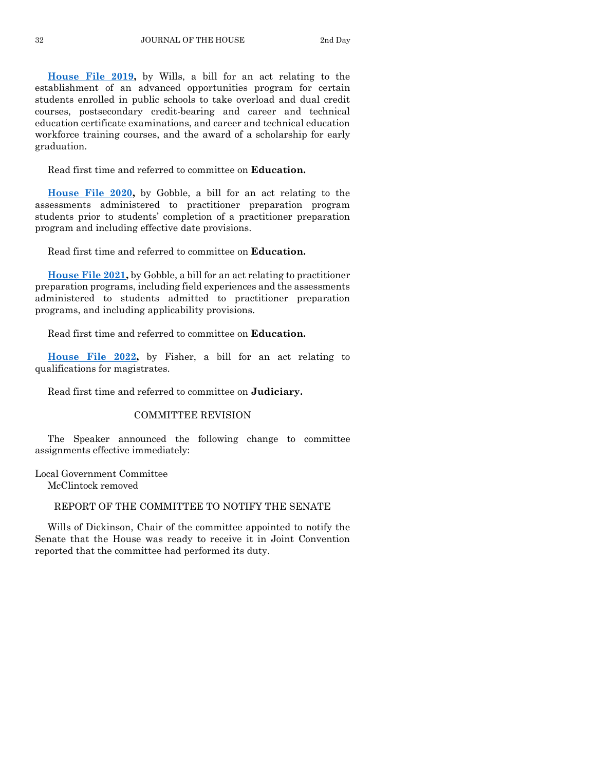**[House File 2019,](https://www.legis.iowa.gov/legislation/BillBook?ga=89&ba=HF2019)** by Wills, a bill for an act relating to the establishment of an advanced opportunities program for certain students enrolled in public schools to take overload and dual credit courses, postsecondary credit-bearing and career and technical education certificate examinations, and career and technical education workforce training courses, and the award of a scholarship for early graduation.

Read first time and referred to committee on **Education.**

**[House File 2020,](https://www.legis.iowa.gov/legislation/BillBook?ga=89&ba=HF2020)** by Gobble, a bill for an act relating to the assessments administered to practitioner preparation program students prior to students' completion of a practitioner preparation program and including effective date provisions.

Read first time and referred to committee on **Education.**

**[House File 2021,](https://www.legis.iowa.gov/legislation/BillBook?ga=89&ba=HF2021)** by Gobble, a bill for an act relating to practitioner preparation programs, including field experiences and the assessments administered to students admitted to practitioner preparation programs, and including applicability provisions.

Read first time and referred to committee on **Education.**

**[House File 2022,](https://www.legis.iowa.gov/legislation/BillBook?ga=89&ba=HF2022)** by Fisher, a bill for an act relating to qualifications for magistrates.

Read first time and referred to committee on **Judiciary.**

## COMMITTEE REVISION

The Speaker announced the following change to committee assignments effective immediately:

Local Government Committee

McClintock removed

## REPORT OF THE COMMITTEE TO NOTIFY THE SENATE

Wills of Dickinson, Chair of the committee appointed to notify the Senate that the House was ready to receive it in Joint Convention reported that the committee had performed its duty.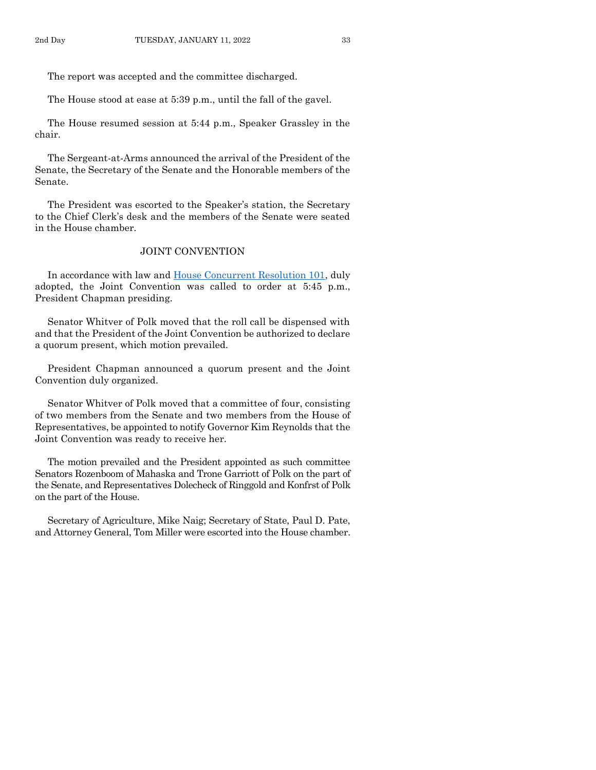The report was accepted and the committee discharged.

The House stood at ease at 5:39 p.m., until the fall of the gavel.

The House resumed session at 5:44 p.m., Speaker Grassley in the chair.

The Sergeant-at-Arms announced the arrival of the President of the Senate, the Secretary of the Senate and the Honorable members of the Senate.

The President was escorted to the Speaker's station, the Secretary to the Chief Clerk's desk and the members of the Senate were seated in the House chamber.

## JOINT CONVENTION

In accordance with law and [House Concurrent Resolution 101,](https://www.legis.iowa.gov/legislation/BillBook?ga=89&ba=HCR101) duly adopted, the Joint Convention was called to order at 5:45 p.m., President Chapman presiding.

Senator Whitver of Polk moved that the roll call be dispensed with and that the President of the Joint Convention be authorized to declare a quorum present, which motion prevailed.

President Chapman announced a quorum present and the Joint Convention duly organized.

Senator Whitver of Polk moved that a committee of four, consisting of two members from the Senate and two members from the House of Representatives, be appointed to notify Governor Kim Reynolds that the Joint Convention was ready to receive her.

The motion prevailed and the President appointed as such committee Senators Rozenboom of Mahaska and Trone Garriott of Polk on the part of the Senate, and Representatives Dolecheck of Ringgold and Konfrst of Polk on the part of the House.

Secretary of Agriculture, Mike Naig; Secretary of State, Paul D. Pate, and Attorney General, Tom Miller were escorted into the House chamber.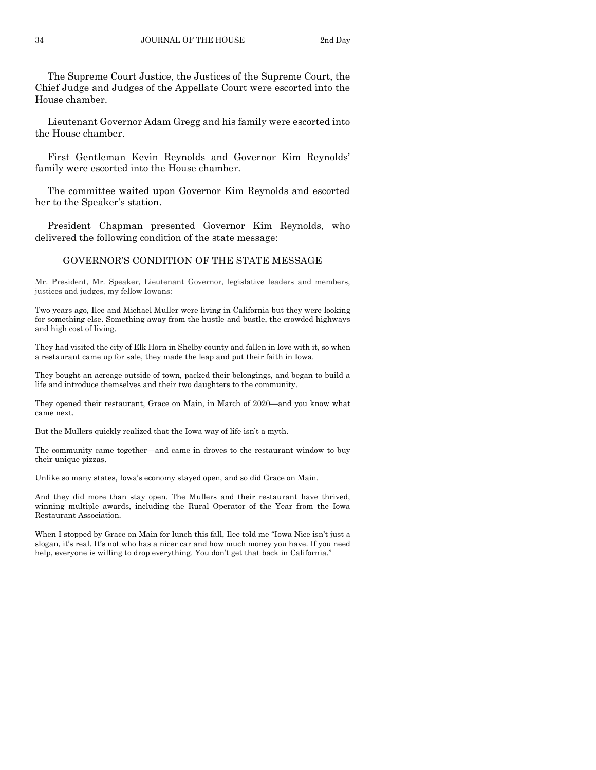The Supreme Court Justice, the Justices of the Supreme Court, the Chief Judge and Judges of the Appellate Court were escorted into the House chamber.

Lieutenant Governor Adam Gregg and his family were escorted into the House chamber.

First Gentleman Kevin Reynolds and Governor Kim Reynolds' family were escorted into the House chamber.

The committee waited upon Governor Kim Reynolds and escorted her to the Speaker's station.

President Chapman presented Governor Kim Reynolds, who delivered the following condition of the state message:

#### GOVERNOR'S CONDITION OF THE STATE MESSAGE

Mr. President, Mr. Speaker, Lieutenant Governor, legislative leaders and members, justices and judges, my fellow Iowans:

Two years ago, Ilee and Michael Muller were living in California but they were looking for something else. Something away from the hustle and bustle, the crowded highways and high cost of living.

They had visited the city of Elk Horn in Shelby county and fallen in love with it, so when a restaurant came up for sale, they made the leap and put their faith in Iowa.

They bought an acreage outside of town, packed their belongings, and began to build a life and introduce themselves and their two daughters to the community.

They opened their restaurant, Grace on Main, in March of 2020—and you know what came next.

But the Mullers quickly realized that the Iowa way of life isn't a myth.

The community came together—and came in droves to the restaurant window to buy their unique pizzas.

Unlike so many states, Iowa's economy stayed open, and so did Grace on Main.

And they did more than stay open. The Mullers and their restaurant have thrived, winning multiple awards, including the Rural Operator of the Year from the Iowa Restaurant Association.

When I stopped by Grace on Main for lunch this fall, Ilee told me "Iowa Nice isn't just a slogan, it's real. It's not who has a nicer car and how much money you have. If you need help, everyone is willing to drop everything. You don't get that back in California."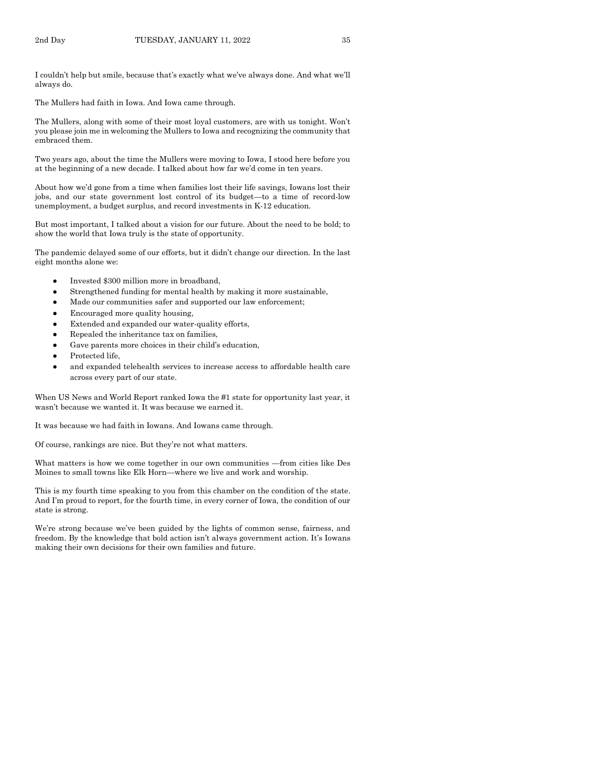I couldn't help but smile, because that's exactly what we've always done. And what we'll always do.

The Mullers had faith in Iowa. And Iowa came through.

The Mullers, along with some of their most loyal customers, are with us tonight. Won't you please join me in welcoming the Mullers to Iowa and recognizing the community that embraced them.

Two years ago, about the time the Mullers were moving to Iowa, I stood here before you at the beginning of a new decade. I talked about how far we'd come in ten years.

About how we'd gone from a time when families lost their life savings, Iowans lost their jobs, and our state government lost control of its budget—to a time of record-low unemployment, a budget surplus, and record investments in K-12 education.

But most important, I talked about a vision for our future. About the need to be bold; to show the world that Iowa truly is the state of opportunity.

The pandemic delayed some of our efforts, but it didn't change our direction. In the last eight months alone we:

- Invested \$300 million more in broadband,
- Strengthened funding for mental health by making it more sustainable,
- Made our communities safer and supported our law enforcement;
- Encouraged more quality housing,
- Extended and expanded our water-quality efforts,
- Repealed the inheritance tax on families,
- Gave parents more choices in their child's education,
- Protected life,
- and expanded telehealth services to increase access to affordable health care across every part of our state.

When US News and World Report ranked Iowa the #1 state for opportunity last year, it wasn't because we wanted it. It was because we earned it.

It was because we had faith in Iowans. And Iowans came through.

Of course, rankings are nice. But they're not what matters.

What matters is how we come together in our own communities —from cities like Des Moines to small towns like Elk Horn—where we live and work and worship.

This is my fourth time speaking to you from this chamber on the condition of the state. And I'm proud to report, for the fourth time, in every corner of Iowa, the condition of our state is strong.

We're strong because we've been guided by the lights of common sense, fairness, and freedom. By the knowledge that bold action isn't always government action. It's Iowans making their own decisions for their own families and future.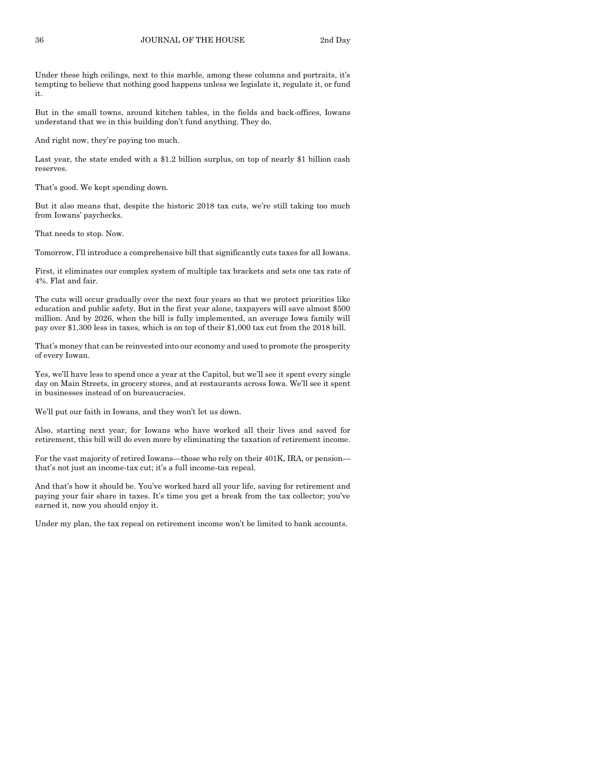Under these high ceilings, next to this marble, among these columns and portraits, it's tempting to believe that nothing good happens unless we legislate it, regulate it, or fund it.

But in the small towns, around kitchen tables, in the fields and back-offices, Iowans understand that we in this building don't fund anything. They do.

And right now, they're paying too much.

Last year, the state ended with a \$1.2 billion surplus, on top of nearly \$1 billion cash reserves.

That's good. We kept spending down.

But it also means that, despite the historic 2018 tax cuts, we're still taking too much from Iowans' paychecks.

That needs to stop. Now.

Tomorrow, I'll introduce a comprehensive bill that significantly cuts taxes for all Iowans.

First, it eliminates our complex system of multiple tax brackets and sets one tax rate of 4%. Flat and fair.

The cuts will occur gradually over the next four years so that we protect priorities like education and public safety. But in the first year alone, taxpayers will save almost \$500 million. And by 2026, when the bill is fully implemented, an average Iowa family will pay over \$1,300 less in taxes, which is on top of their \$1,000 tax cut from the 2018 bill.

That's money that can be reinvested into our economy and used to promote the prosperity of every Iowan.

Yes, we'll have less to spend once a year at the Capitol, but we'll see it spent every single day on Main Streets, in grocery stores, and at restaurants across Iowa. We'll see it spent in businesses instead of on bureaucracies.

We'll put our faith in Iowans, and they won't let us down.

Also, starting next year, for Iowans who have worked all their lives and saved for retirement, this bill will do even more by eliminating the taxation of retirement income.

For the vast majority of retired Iowans—those who rely on their 401K, IRA, or pension that's not just an income-tax cut; it's a full income-tax repeal.

And that's how it should be. You've worked hard all your life, saving for retirement and paying your fair share in taxes. It's time you get a break from the tax collector; you've earned it, now you should enjoy it.

Under my plan, the tax repeal on retirement income won't be limited to bank accounts.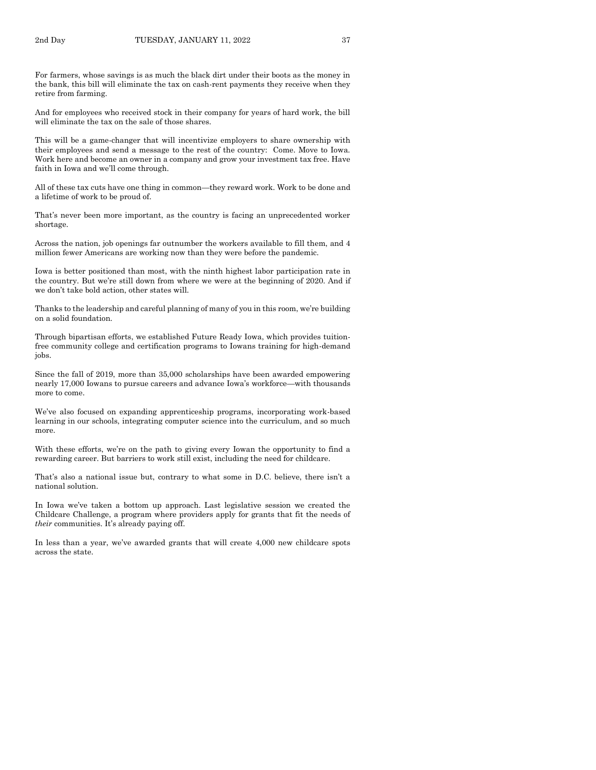For farmers, whose savings is as much the black dirt under their boots as the money in the bank, this bill will eliminate the tax on cash-rent payments they receive when they retire from farming.

And for employees who received stock in their company for years of hard work, the bill will eliminate the tax on the sale of those shares.

This will be a game-changer that will incentivize employers to share ownership with their employees and send a message to the rest of the country: Come. Move to Iowa. Work here and become an owner in a company and grow your investment tax free. Have faith in Iowa and we'll come through.

All of these tax cuts have one thing in common—they reward work. Work to be done and a lifetime of work to be proud of.

That's never been more important, as the country is facing an unprecedented worker shortage.

Across the nation, job openings far outnumber the workers available to fill them, and 4 million fewer Americans are working now than they were before the pandemic.

Iowa is better positioned than most, with the ninth highest labor participation rate in the country. But we're still down from where we were at the beginning of 2020. And if we don't take bold action, other states will.

Thanks to the leadership and careful planning of many of you in this room, we're building on a solid foundation.

Through bipartisan efforts, we established Future Ready Iowa, which provides tuitionfree community college and certification programs to Iowans training for high-demand jobs.

Since the fall of 2019, more than 35,000 scholarships have been awarded empowering nearly 17,000 Iowans to pursue careers and advance Iowa's workforce—with thousands more to come.

We've also focused on expanding apprenticeship programs, incorporating work-based learning in our schools, integrating computer science into the curriculum, and so much more.

With these efforts, we're on the path to giving every Iowan the opportunity to find a rewarding career. But barriers to work still exist, including the need for childcare.

That's also a national issue but, contrary to what some in D.C. believe, there isn't a national solution.

In Iowa we've taken a bottom up approach. Last legislative session we created the Childcare Challenge, a program where providers apply for grants that fit the needs of *their* communities. It's already paying off.

In less than a year, we've awarded grants that will create 4,000 new childcare spots across the state.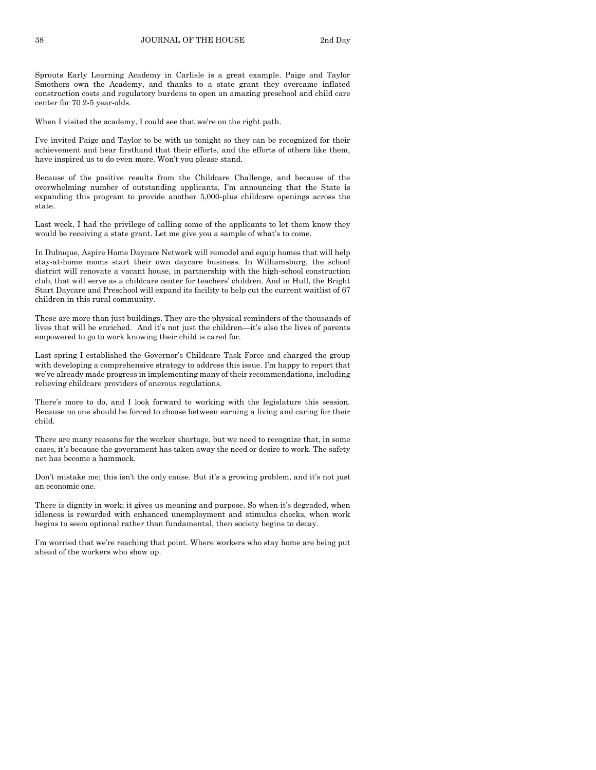Sprouts Early Learning Academy in Carlisle is a great example. Paige and Taylor Smothers own the Academy, and thanks to a state grant they overcame inflated construction costs and regulatory burdens to open an amazing preschool and child care center for 70 2-5 year-olds.

When I visited the academy, I could see that we're on the right path.

I've invited Paige and Taylor to be with us tonight so they can be recognized for their achievement and hear firsthand that their efforts, and the efforts of others like them, have inspired us to do even more. Won't you please stand.

Because of the positive results from the Childcare Challenge, and because of the overwhelming number of outstanding applicants, I'm announcing that the State is expanding this program to provide another 5,000-plus childcare openings across the state.

Last week, I had the privilege of calling some of the applicants to let them know they would be receiving a state grant. Let me give you a sample of what's to come.

In Dubuque, Aspire Home Daycare Network will remodel and equip homes that will help stay-at-home moms start their own daycare business. In Williamsburg, the school district will renovate a vacant house, in partnership with the high-school construction club, that will serve as a childcare center for teachers' children. And in Hull, the Bright Start Daycare and Preschool will expand its facility to help cut the current waitlist of 67 children in this rural community.

These are more than just buildings. They are the physical reminders of the thousands of lives that will be enriched. And it's not just the children—it's also the lives of parents empowered to go to work knowing their child is cared for.

Last spring I established the Governor's Childcare Task Force and charged the group with developing a comprehensive strategy to address this issue. I'm happy to report that we've already made progress in implementing many of their recommendations, including relieving childcare providers of onerous regulations.

There's more to do, and I look forward to working with the legislature this session. Because no one should be forced to choose between earning a living and caring for their child.

There are many reasons for the worker shortage, but we need to recognize that, in some cases, it's because the government has taken away the need or desire to work. The safety net has become a hammock.

Don't mistake me; this isn't the only cause. But it's a growing problem, and it's not just an economic one.

There is dignity in work; it gives us meaning and purpose. So when it's degraded, when idleness is rewarded with enhanced unemployment and stimulus checks, when work begins to seem optional rather than fundamental, then society begins to decay.

I'm worried that we're reaching that point. Where workers who stay home are being put ahead of the workers who show up.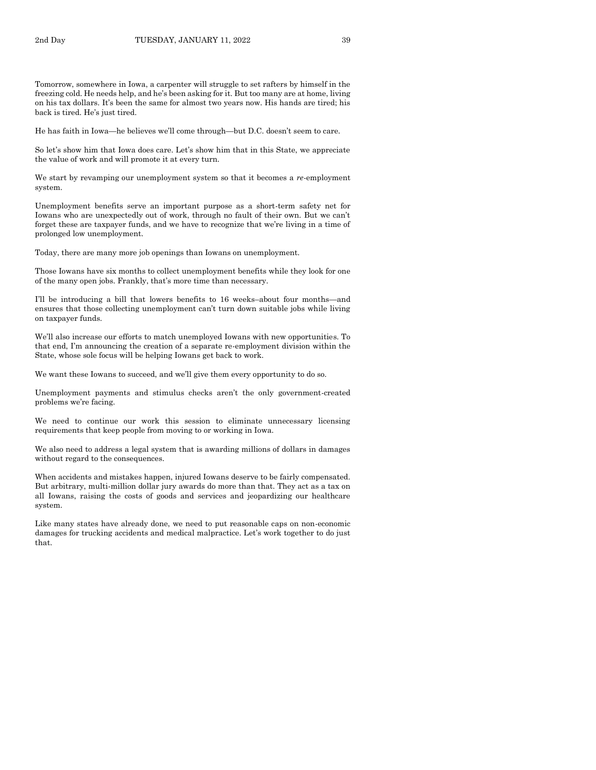Tomorrow, somewhere in Iowa, a carpenter will struggle to set rafters by himself in the freezing cold. He needs help, and he's been asking for it. But too many are at home, living on his tax dollars. It's been the same for almost two years now. His hands are tired; his back is tired. He's just tired.

He has faith in Iowa—he believes we'll come through—but D.C. doesn't seem to care.

So let's show him that Iowa does care. Let's show him that in this State, we appreciate the value of work and will promote it at every turn.

We start by revamping our unemployment system so that it becomes a *re-*employment system.

Unemployment benefits serve an important purpose as a short-term safety net for Iowans who are unexpectedly out of work, through no fault of their own. But we can't forget these are taxpayer funds, and we have to recognize that we're living in a time of prolonged low unemployment.

Today, there are many more job openings than Iowans on unemployment.

Those Iowans have six months to collect unemployment benefits while they look for one of the many open jobs. Frankly, that's more time than necessary.

I'll be introducing a bill that lowers benefits to 16 weeks–about four months—and ensures that those collecting unemployment can't turn down suitable jobs while living on taxpayer funds.

We'll also increase our efforts to match unemployed Iowans with new opportunities. To that end, I'm announcing the creation of a separate re-employment division within the State, whose sole focus will be helping Iowans get back to work.

We want these Iowans to succeed, and we'll give them every opportunity to do so.

Unemployment payments and stimulus checks aren't the only government-created problems we're facing.

We need to continue our work this session to eliminate unnecessary licensing requirements that keep people from moving to or working in Iowa.

We also need to address a legal system that is awarding millions of dollars in damages without regard to the consequences.

When accidents and mistakes happen, injured Iowans deserve to be fairly compensated. But arbitrary, multi-million dollar jury awards do more than that. They act as a tax on all Iowans, raising the costs of goods and services and jeopardizing our healthcare system.

Like many states have already done, we need to put reasonable caps on non-economic damages for trucking accidents and medical malpractice. Let's work together to do just that.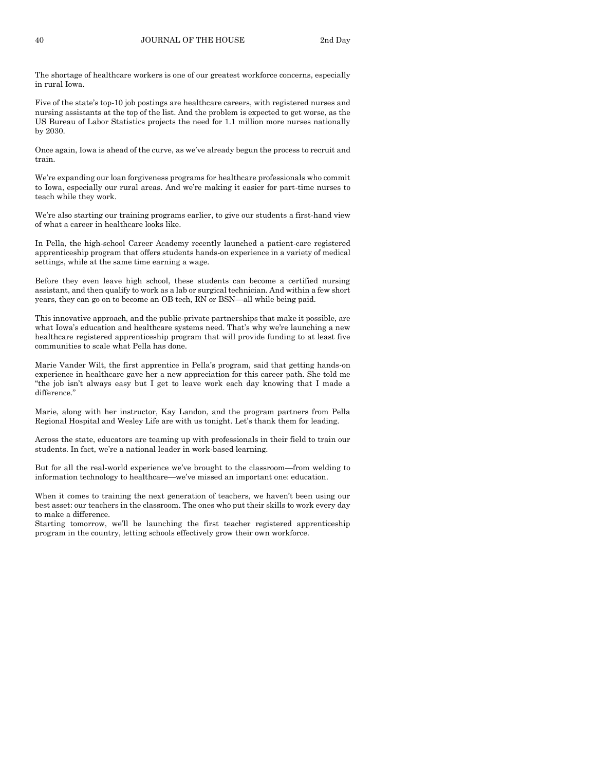The shortage of healthcare workers is one of our greatest workforce concerns, especially in rural Iowa.

Five of the state's top-10 job postings are healthcare careers, with registered nurses and nursing assistants at the top of the list. And the problem is expected to get worse, as the US Bureau of Labor Statistics projects the need for 1.1 million more nurses nationally by 2030.

Once again, Iowa is ahead of the curve, as we've already begun the process to recruit and train.

We're expanding our loan forgiveness programs for healthcare professionals who commit to Iowa, especially our rural areas. And we're making it easier for part-time nurses to teach while they work.

We're also starting our training programs earlier, to give our students a first-hand view of what a career in healthcare looks like.

In Pella, the high-school Career Academy recently launched a patient-care registered apprenticeship program that offers students hands-on experience in a variety of medical settings, while at the same time earning a wage.

Before they even leave high school, these students can become a certified nursing assistant, and then qualify to work as a lab or surgical technician. And within a few short years, they can go on to become an OB tech, RN or BSN—all while being paid.

This innovative approach, and the public-private partnerships that make it possible, are what Iowa's education and healthcare systems need. That's why we're launching a new healthcare registered apprenticeship program that will provide funding to at least five communities to scale what Pella has done.

Marie Vander Wilt, the first apprentice in Pella's program, said that getting hands-on experience in healthcare gave her a new appreciation for this career path. She told me "the job isn't always easy but I get to leave work each day knowing that I made a difference."

Marie, along with her instructor, Kay Landon, and the program partners from Pella Regional Hospital and Wesley Life are with us tonight. Let's thank them for leading.

Across the state, educators are teaming up with professionals in their field to train our students. In fact, we're a national leader in work-based learning.

But for all the real-world experience we've brought to the classroom—from welding to information technology to healthcare—we've missed an important one: education.

When it comes to training the next generation of teachers, we haven't been using our best asset: our teachers in the classroom. The ones who put their skills to work every day to make a difference.

Starting tomorrow, we'll be launching the first teacher registered apprenticeship program in the country, letting schools effectively grow their own workforce.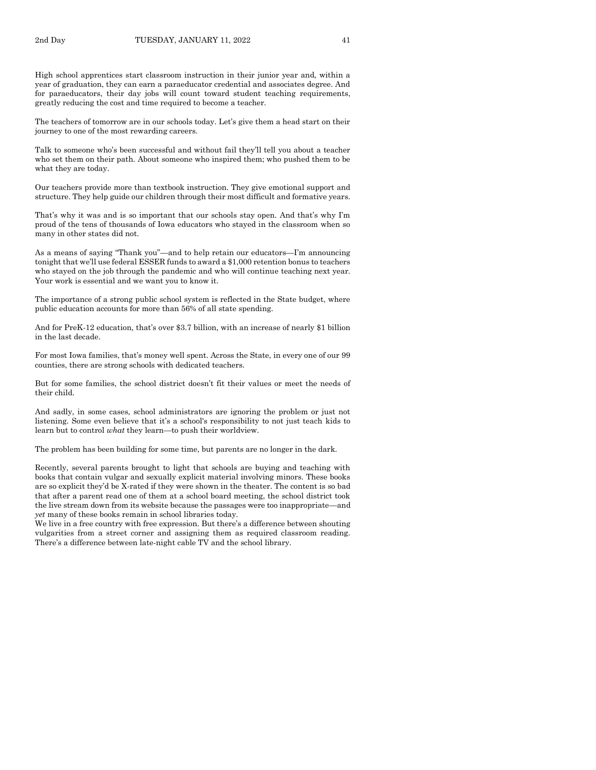High school apprentices start classroom instruction in their junior year and, within a year of graduation, they can earn a paraeducator credential and associates degree. And for paraeducators, their day jobs will count toward student teaching requirements, greatly reducing the cost and time required to become a teacher.

The teachers of tomorrow are in our schools today. Let's give them a head start on their journey to one of the most rewarding careers.

Talk to someone who's been successful and without fail they'll tell you about a teacher who set them on their path. About someone who inspired them; who pushed them to be what they are today.

Our teachers provide more than textbook instruction. They give emotional support and structure. They help guide our children through their most difficult and formative years.

That's why it was and is so important that our schools stay open. And that's why I'm proud of the tens of thousands of Iowa educators who stayed in the classroom when so many in other states did not.

As a means of saying "Thank you"—and to help retain our educators—I'm announcing tonight that we'll use federal ESSER funds to award a \$1,000 retention bonus to teachers who stayed on the job through the pandemic and who will continue teaching next year. Your work is essential and we want you to know it.

The importance of a strong public school system is reflected in the State budget, where public education accounts for more than 56% of all state spending.

And for PreK-12 education, that's over \$3.7 billion, with an increase of nearly \$1 billion in the last decade.

For most Iowa families, that's money well spent. Across the State, in every one of our 99 counties, there are strong schools with dedicated teachers.

But for some families, the school district doesn't fit their values or meet the needs of their child.

And sadly, in some cases, school administrators are ignoring the problem or just not listening. Some even believe that it's a school's responsibility to not just teach kids to learn but to control *what* they learn—to push their worldview.

The problem has been building for some time, but parents are no longer in the dark.

Recently, several parents brought to light that schools are buying and teaching with books that contain vulgar and sexually explicit material involving minors. These books are so explicit they'd be X-rated if they were shown in the theater. The content is so bad that after a parent read one of them at a school board meeting, the school district took the live stream down from its website because the passages were too inappropriate—and *yet* many of these books remain in school libraries today.

We live in a free country with free expression. But there's a difference between shouting vulgarities from a street corner and assigning them as required classroom reading. There's a difference between late-night cable TV and the school library.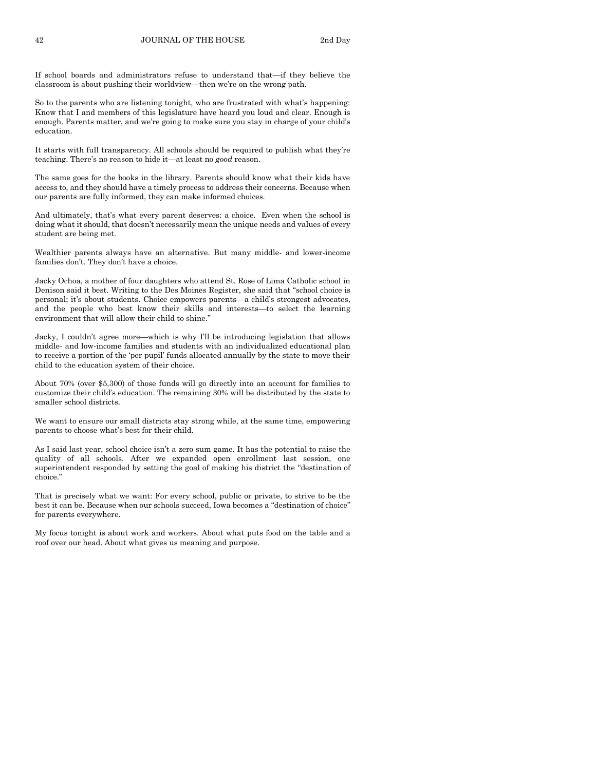If school boards and administrators refuse to understand that—if they believe the classroom is about pushing their worldview—then we're on the wrong path.

So to the parents who are listening tonight, who are frustrated with what's happening: Know that I and members of this legislature have heard you loud and clear. Enough is enough. Parents matter, and we're going to make sure you stay in charge of your child's education.

It starts with full transparency. All schools should be required to publish what they're teaching. There's no reason to hide it—at least no *good* reason.

The same goes for the books in the library. Parents should know what their kids have access to, and they should have a timely process to address their concerns. Because when our parents are fully informed, they can make informed choices.

And ultimately, that's what every parent deserves: a choice. Even when the school is doing what it should, that doesn't necessarily mean the unique needs and values of every student are being met.

Wealthier parents always have an alternative. But many middle- and lower-income families don't. They don't have a choice.

Jacky Ochoa, a mother of four daughters who attend St. Rose of Lima Catholic school in Denison said it best. Writing to the Des Moines Register, she said that "school choice is personal; it's about students. Choice empowers parents—a child's strongest advocates, and the people who best know their skills and interests—to select the learning environment that will allow their child to shine."

Jacky, I couldn't agree more—which is why I'll be introducing legislation that allows middle- and low-income families and students with an individualized educational plan to receive a portion of the 'per pupil' funds allocated annually by the state to move their child to the education system of their choice.

About 70% (over \$5,300) of those funds will go directly into an account for families to customize their child's education. The remaining 30% will be distributed by the state to smaller school districts.

We want to ensure our small districts stay strong while, at the same time, empowering parents to choose what's best for their child.

As I said last year, school choice isn't a zero sum game. It has the potential to raise the quality of all schools. After we expanded open enrollment last session, one superintendent responded by setting the goal of making his district the "destination of choice."

That is precisely what we want: For every school, public or private, to strive to be the best it can be. Because when our schools succeed, Iowa becomes a "destination of choice" for parents everywhere.

My focus tonight is about work and workers. About what puts food on the table and a roof over our head. About what gives us meaning and purpose.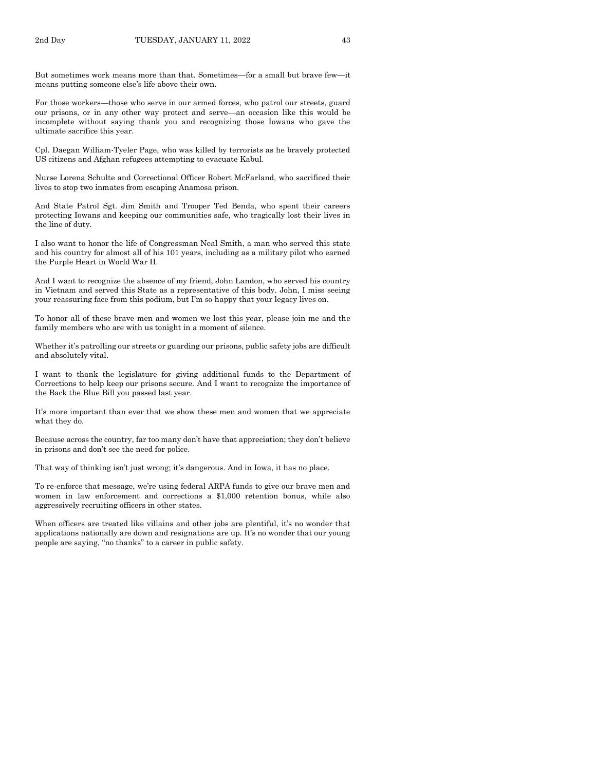But sometimes work means more than that. Sometimes—for a small but brave few—it means putting someone else's life above their own.

For those workers—those who serve in our armed forces, who patrol our streets, guard our prisons, or in any other way protect and serve—an occasion like this would be incomplete without saying thank you and recognizing those Iowans who gave the ultimate sacrifice this year.

Cpl. Daegan William-Tyeler Page, who was killed by terrorists as he bravely protected US citizens and Afghan refugees attempting to evacuate Kabul.

Nurse Lorena Schulte and Correctional Officer Robert McFarland, who sacrificed their lives to stop two inmates from escaping Anamosa prison.

And State Patrol Sgt. Jim Smith and Trooper Ted Benda, who spent their careers protecting Iowans and keeping our communities safe, who tragically lost their lives in the line of duty.

I also want to honor the life of Congressman Neal Smith, a man who served this state and his country for almost all of his 101 years, including as a military pilot who earned the Purple Heart in World War II.

And I want to recognize the absence of my friend, John Landon, who served his country in Vietnam and served this State as a representative of this body. John, I miss seeing your reassuring face from this podium, but I'm so happy that your legacy lives on.

To honor all of these brave men and women we lost this year, please join me and the family members who are with us tonight in a moment of silence.

Whether it's patrolling our streets or guarding our prisons, public safety jobs are difficult and absolutely vital.

I want to thank the legislature for giving additional funds to the Department of Corrections to help keep our prisons secure. And I want to recognize the importance of the Back the Blue Bill you passed last year.

It's more important than ever that we show these men and women that we appreciate what they do.

Because across the country, far too many don't have that appreciation; they don't believe in prisons and don't see the need for police.

That way of thinking isn't just wrong; it's dangerous. And in Iowa, it has no place.

To re-enforce that message, we're using federal ARPA funds to give our brave men and women in law enforcement and corrections a \$1,000 retention bonus, while also aggressively recruiting officers in other states.

When officers are treated like villains and other jobs are plentiful, it's no wonder that applications nationally are down and resignations are up. It's no wonder that our young people are saying, "no thanks" to a career in public safety.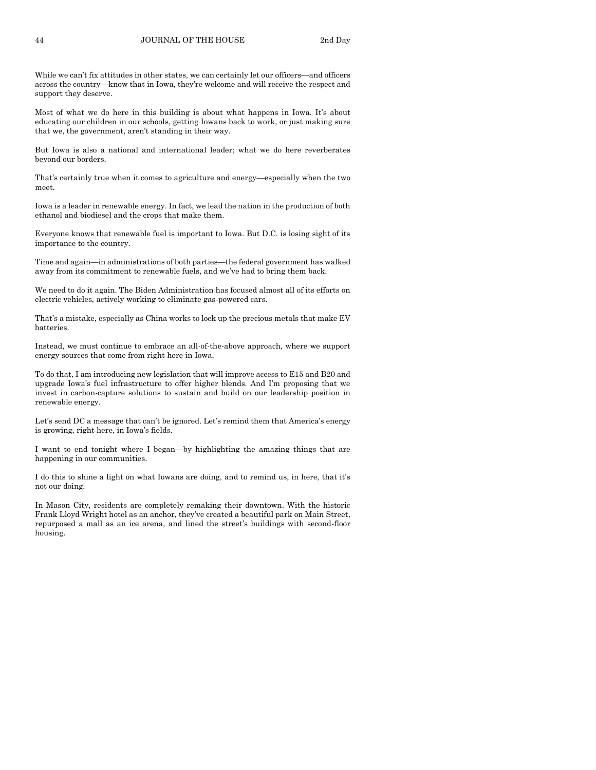While we can't fix attitudes in other states, we can certainly let our officers—and officers across the country—know that in Iowa, they're welcome and will receive the respect and support they deserve.

Most of what we do here in this building is about what happens in Iowa. It's about educating our children in our schools, getting Iowans back to work, or just making sure that we, the government, aren't standing in their way.

But Iowa is also a national and international leader; what we do here reverberates beyond our borders.

That's certainly true when it comes to agriculture and energy—especially when the two meet.

Iowa is a leader in renewable energy. In fact, we lead the nation in the production of both ethanol and biodiesel and the crops that make them.

Everyone knows that renewable fuel is important to Iowa. But D.C. is losing sight of its importance to the country.

Time and again—in administrations of both parties—the federal government has walked away from its commitment to renewable fuels, and we've had to bring them back.

We need to do it again. The Biden Administration has focused almost all of its efforts on electric vehicles, actively working to eliminate gas-powered cars.

That's a mistake, especially as China works to lock up the precious metals that make EV batteries.

Instead, we must continue to embrace an all-of-the-above approach, where we support energy sources that come from right here in Iowa.

To do that, I am introducing new legislation that will improve access to E15 and B20 and upgrade Iowa's fuel infrastructure to offer higher blends. And I'm proposing that we invest in carbon-capture solutions to sustain and build on our leadership position in renewable energy.

Let's send DC a message that can't be ignored. Let's remind them that America's energy is growing, right here, in Iowa's fields.

I want to end tonight where I began—by highlighting the amazing things that are happening in our communities.

I do this to shine a light on what Iowans are doing, and to remind us, in here, that it's not our doing.

In Mason City, residents are completely remaking their downtown. With the historic Frank Lloyd Wright hotel as an anchor, they've created a beautiful park on Main Street, repurposed a mall as an ice arena, and lined the street's buildings with second-floor housing.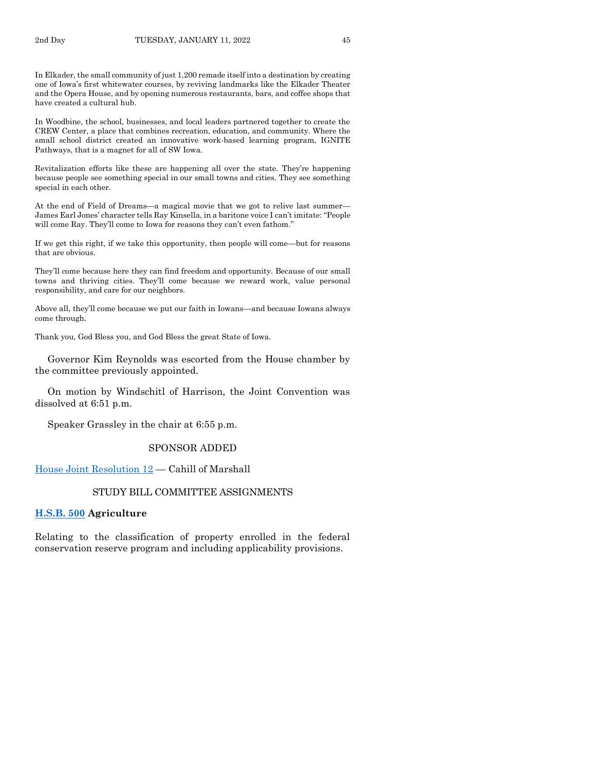In Elkader, the small community of just 1,200 remade itself into a destination by creating one of Iowa's first whitewater courses, by reviving landmarks like the Elkader Theater and the Opera House, and by opening numerous restaurants, bars, and coffee shops that have created a cultural hub.

In Woodbine, the school, businesses, and local leaders partnered together to create the CREW Center, a place that combines recreation, education, and community. Where the small school district created an innovative work-based learning program, IGNITE Pathways, that is a magnet for all of SW Iowa.

Revitalization efforts like these are happening all over the state. They're happening because people see something special in our small towns and cities. They see something special in each other.

At the end of Field of Dreams—a magical movie that we got to relive last summer— James Earl Jones' character tells Ray Kinsella, in a baritone voice I can't imitate: "People will come Ray. They'll come to Iowa for reasons they can't even fathom."

If we get this right, if we take this opportunity, then people will come—but for reasons that are obvious.

They'll come because here they can find freedom and opportunity. Because of our small towns and thriving cities. They'll come because we reward work, value personal responsibility, and care for our neighbors.

Above all, they'll come because we put our faith in Iowans—and because Iowans always come through.

Thank you, God Bless you, and God Bless the great State of Iowa.

Governor Kim Reynolds was escorted from the House chamber by the committee previously appointed.

On motion by Windschitl of Harrison, the Joint Convention was dissolved at 6:51 p.m.

Speaker Grassley in the chair at 6:55 p.m.

#### SPONSOR ADDED

[House Joint Resolution 12](https://www.legis.iowa.gov/legislation/BillBook?ga=89&ba=HJR12) — Cahill of Marshall

## STUDY BILL COMMITTEE ASSIGNMENTS

## **[H.S.B. 500](https://www.legis.iowa.gov/legislation/BillBook?ga=89&ba=HSB500) Agriculture**

Relating to the classification of property enrolled in the federal conservation reserve program and including applicability provisions.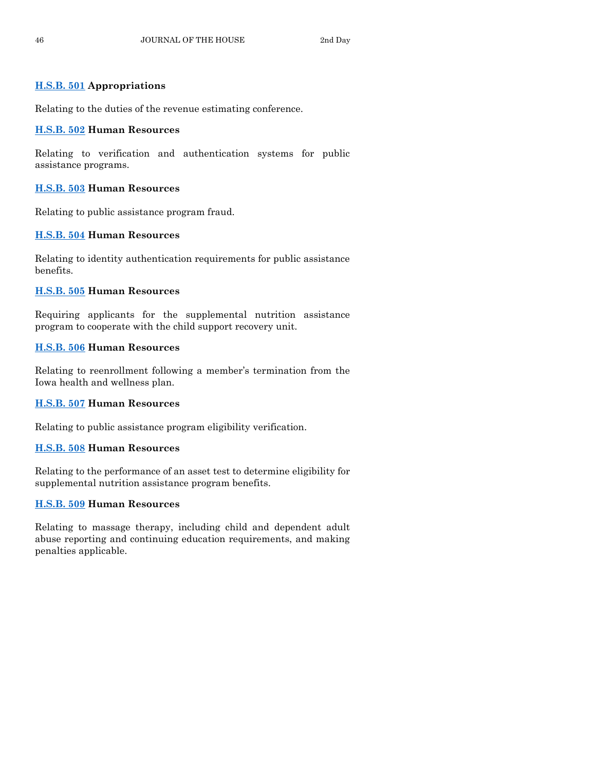## **[H.S.B. 501](https://www.legis.iowa.gov/legislation/BillBook?ga=89&ba=HSB501) Appropriations**

Relating to the duties of the revenue estimating conference.

## **[H.S.B. 502](https://www.legis.iowa.gov/legislation/BillBook?ga=89&ba=HSB502) Human Resources**

Relating to verification and authentication systems for public assistance programs.

## **[H.S.B. 503](https://www.legis.iowa.gov/legislation/BillBook?ga=89&ba=HSB503) Human Resources**

Relating to public assistance program fraud.

## **[H.S.B. 504](https://www.legis.iowa.gov/legislation/BillBook?ga=89&ba=HSB504) Human Resources**

Relating to identity authentication requirements for public assistance benefits.

## **[H.S.B. 505](https://www.legis.iowa.gov/legislation/BillBook?ga=89&ba=HSB505) Human Resources**

Requiring applicants for the supplemental nutrition assistance program to cooperate with the child support recovery unit.

## **[H.S.B. 506](https://www.legis.iowa.gov/legislation/BillBook?ga=89&ba=HSB506) Human Resources**

Relating to reenrollment following a member's termination from the Iowa health and wellness plan.

## **[H.S.B. 507](https://www.legis.iowa.gov/legislation/BillBook?ga=89&ba=HSB507) Human Resources**

Relating to public assistance program eligibility verification.

## **[H.S.B. 508](https://www.legis.iowa.gov/legislation/BillBook?ga=89&ba=HSB508) Human Resources**

Relating to the performance of an asset test to determine eligibility for supplemental nutrition assistance program benefits.

## **[H.S.B. 509](https://www.legis.iowa.gov/legislation/BillBook?ga=89&ba=HSB509) Human Resources**

Relating to massage therapy, including child and dependent adult abuse reporting and continuing education requirements, and making penalties applicable.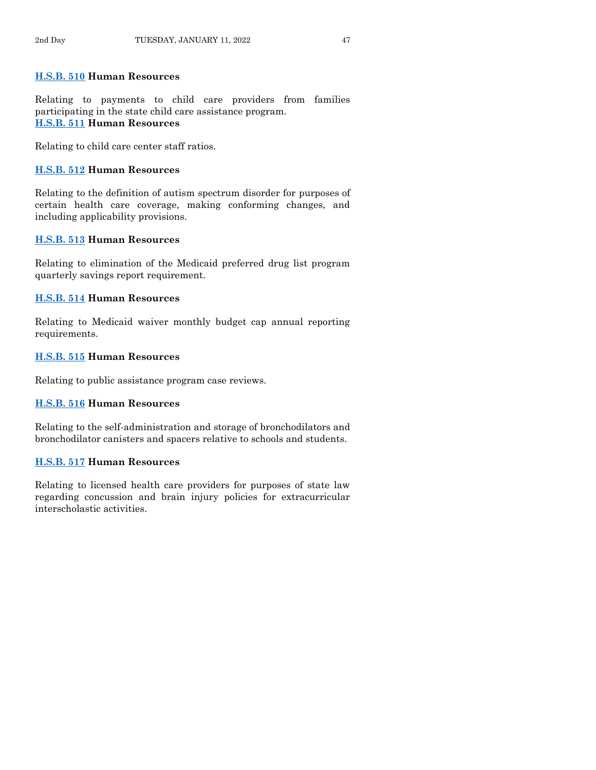## **[H.S.B. 510](https://www.legis.iowa.gov/legislation/BillBook?ga=89&ba=HSB510) Human Resources**

Relating to payments to child care providers from families participating in the state child care assistance program. **[H.S.B. 511](https://www.legis.iowa.gov/legislation/BillBook?ga=89&ba=HSB511) Human Resources**

Relating to child care center staff ratios.

## **[H.S.B. 512](https://www.legis.iowa.gov/legislation/BillBook?ga=89&ba=HSB512) Human Resources**

Relating to the definition of autism spectrum disorder for purposes of certain health care coverage, making conforming changes, and including applicability provisions.

## **[H.S.B. 513](https://www.legis.iowa.gov/legislation/BillBook?ga=89&ba=HSB513) Human Resources**

Relating to elimination of the Medicaid preferred drug list program quarterly savings report requirement.

## **[H.S.B. 514](https://www.legis.iowa.gov/legislation/BillBook?ga=89&ba=HSB514) Human Resources**

Relating to Medicaid waiver monthly budget cap annual reporting requirements.

## **[H.S.B. 515](https://www.legis.iowa.gov/legislation/BillBook?ga=89&ba=HSB515) Human Resources**

Relating to public assistance program case reviews.

## **[H.S.B. 516](https://www.legis.iowa.gov/legislation/BillBook?ga=89&ba=HSB516) Human Resources**

Relating to the self-administration and storage of bronchodilators and bronchodilator canisters and spacers relative to schools and students.

## **[H.S.B. 517](https://www.legis.iowa.gov/legislation/BillBook?ga=89&ba=HSB517) Human Resources**

Relating to licensed health care providers for purposes of state law regarding concussion and brain injury policies for extracurricular interscholastic activities.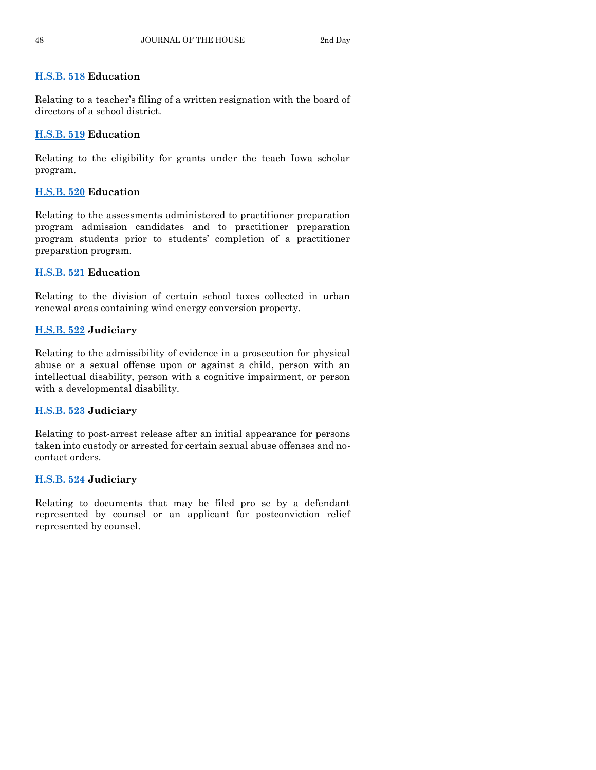## **[H.S.B. 518](https://www.legis.iowa.gov/legislation/BillBook?ga=89&ba=HSB518) Education**

Relating to a teacher's filing of a written resignation with the board of directors of a school district.

## **[H.S.B. 519](https://www.legis.iowa.gov/legislation/BillBook?ga=89&ba=HSB519) Education**

Relating to the eligibility for grants under the teach Iowa scholar program.

## **[H.S.B. 520](https://www.legis.iowa.gov/legislation/BillBook?ga=89&ba=HSB520) Education**

Relating to the assessments administered to practitioner preparation program admission candidates and to practitioner preparation program students prior to students' completion of a practitioner preparation program.

## **[H.S.B. 521](https://www.legis.iowa.gov/legislation/BillBook?ga=89&ba=HSB521) Education**

Relating to the division of certain school taxes collected in urban renewal areas containing wind energy conversion property.

## **[H.S.B. 522](https://www.legis.iowa.gov/legislation/BillBook?ga=89&ba=HSB522) Judiciary**

Relating to the admissibility of evidence in a prosecution for physical abuse or a sexual offense upon or against a child, person with an intellectual disability, person with a cognitive impairment, or person with a developmental disability.

## **[H.S.B. 523](https://www.legis.iowa.gov/legislation/BillBook?ga=89&ba=HSB523) Judiciary**

Relating to post-arrest release after an initial appearance for persons taken into custody or arrested for certain sexual abuse offenses and nocontact orders.

## **[H.S.B. 524](https://www.legis.iowa.gov/legislation/BillBook?ga=89&ba=HSB524) Judiciary**

Relating to documents that may be filed pro se by a defendant represented by counsel or an applicant for postconviction relief represented by counsel.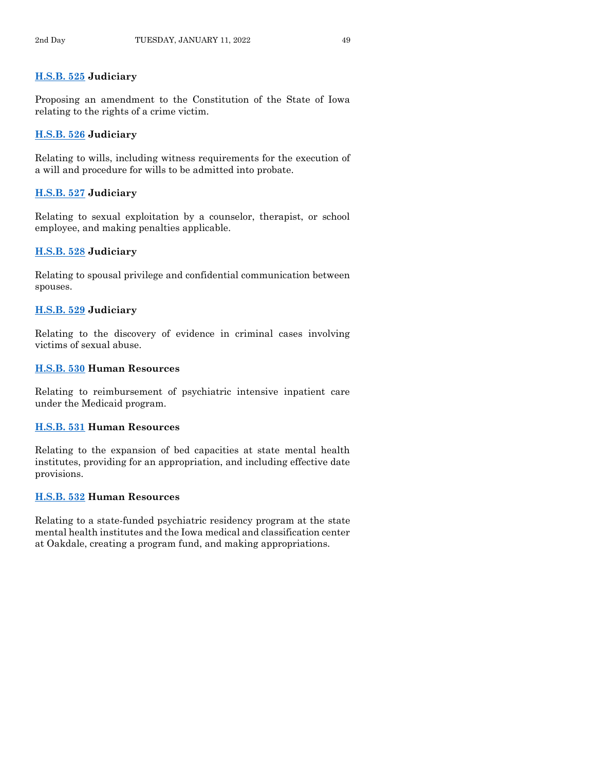## **[H.S.B. 525](https://www.legis.iowa.gov/legislation/BillBook?ga=89&ba=HSB525) Judiciary**

Proposing an amendment to the Constitution of the State of Iowa relating to the rights of a crime victim.

## **[H.S.B. 526](https://www.legis.iowa.gov/legislation/BillBook?ga=89&ba=HSB526) Judiciary**

Relating to wills, including witness requirements for the execution of a will and procedure for wills to be admitted into probate.

## **[H.S.B. 527](https://www.legis.iowa.gov/legislation/BillBook?ga=89&ba=HSB527) Judiciary**

Relating to sexual exploitation by a counselor, therapist, or school employee, and making penalties applicable.

## **[H.S.B. 528](https://www.legis.iowa.gov/legislation/BillBook?ga=89&ba=HSB528) Judiciary**

Relating to spousal privilege and confidential communication between spouses.

## **[H.S.B. 529](https://www.legis.iowa.gov/legislation/BillBook?ga=89&ba=HSB529) Judiciary**

Relating to the discovery of evidence in criminal cases involving victims of sexual abuse.

## **[H.S.B. 530](https://www.legis.iowa.gov/legislation/BillBook?ga=89&ba=HSB530) Human Resources**

Relating to reimbursement of psychiatric intensive inpatient care under the Medicaid program.

## **[H.S.B. 531](https://www.legis.iowa.gov/legislation/BillBook?ga=89&ba=HSB531) Human Resources**

Relating to the expansion of bed capacities at state mental health institutes, providing for an appropriation, and including effective date provisions.

## **[H.S.B. 532](https://www.legis.iowa.gov/legislation/BillBook?ga=89&ba=HSB532) Human Resources**

Relating to a state-funded psychiatric residency program at the state mental health institutes and the Iowa medical and classification center at Oakdale, creating a program fund, and making appropriations.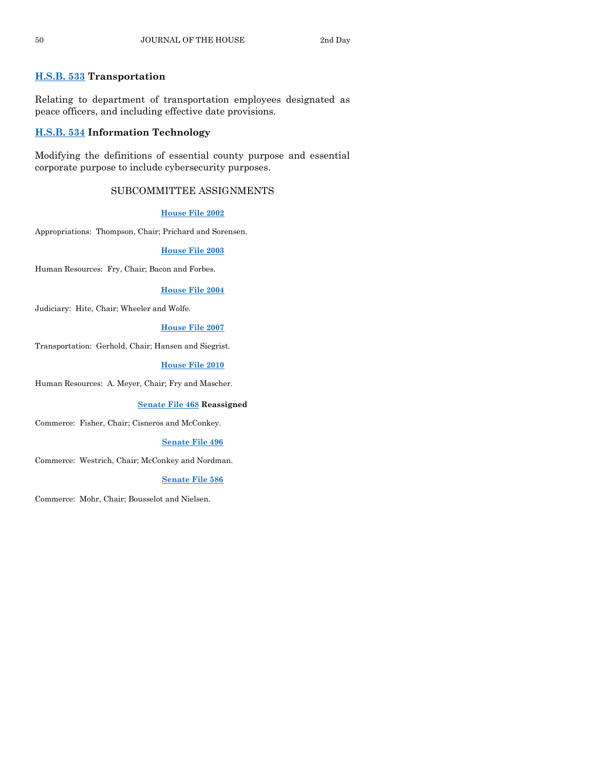## **[H.S.B. 533](https://www.legis.iowa.gov/legislation/BillBook?ga=89&ba=HSB533) Transportation**

Relating to department of transportation employees designated as peace officers, and including effective date provisions.

## **[H.S.B. 534](https://www.legis.iowa.gov/legislation/BillBook?ga=89&ba=HSB534) Information Technology**

Modifying the definitions of essential county purpose and essential corporate purpose to include cybersecurity purposes.

## SUBCOMMITTEE ASSIGNMENTS

#### **[House File 2002](https://www.legis.iowa.gov/legislation/BillBook?ga=89&ba=HF2002)**

Appropriations: Thompson, Chair; Prichard and Sorensen.

#### **[House File 2003](https://www.legis.iowa.gov/legislation/BillBook?ga=89&ba=HF2003)**

Human Resources: Fry, Chair; Bacon and Forbes.

#### **[House File 2004](https://www.legis.iowa.gov/legislation/BillBook?ga=89&ba=HF2004)**

Judiciary: Hite, Chair; Wheeler and Wolfe.

#### **[House File 2007](https://www.legis.iowa.gov/legislation/BillBook?ga=89&ba=HF2007)**

Transportation: Gerhold, Chair; Hansen and Siegrist.

#### **[House File 2010](https://www.legis.iowa.gov/legislation/BillBook?ga=89&ba=HF2010)**

Human Resources: A. Meyer, Chair; Fry and Mascher.

#### **[Senate File 468](https://www.legis.iowa.gov/legislation/BillBook?ga=89&ba=SF468) Reassigned**

Commerce: Fisher, Chair; Cisneros and McConkey.

#### **[Senate File 496](https://www.legis.iowa.gov/legislation/BillBook?ga=89&ba=SF496)**

Commerce: Westrich, Chair; McConkey and Nordman.

#### **[Senate File 586](https://www.legis.iowa.gov/legislation/BillBook?ga=89&ba=SF586)**

Commerce: Mohr, Chair; Bousselot and Nielsen.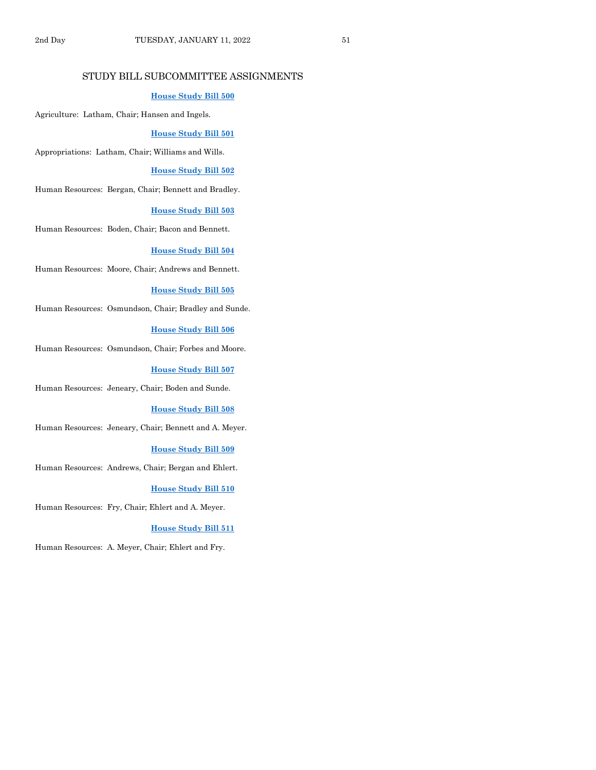## STUDY BILL SUBCOMMITTEE ASSIGNMENTS

## **[House Study Bill 500](https://www.legis.iowa.gov/legislation/BillBook?ga=89&ba=HSB500)**

Agriculture: Latham, Chair; Hansen and Ingels.

#### **[House Study Bill 501](https://www.legis.iowa.gov/legislation/BillBook?ga=89&ba=HSB501)**

Appropriations: Latham, Chair; Williams and Wills.

#### **[House Study Bill 502](https://www.legis.iowa.gov/legislation/BillBook?ga=89&ba=HSB502)**

Human Resources: Bergan, Chair; Bennett and Bradley.

#### **[House Study Bill 503](https://www.legis.iowa.gov/legislation/BillBook?ga=89&ba=HSB503)**

Human Resources: Boden, Chair; Bacon and Bennett.

#### **[House Study Bill 504](https://www.legis.iowa.gov/legislation/BillBook?ga=89&ba=HSB504)**

Human Resources: Moore, Chair; Andrews and Bennett.

#### **[House Study Bill 505](https://www.legis.iowa.gov/legislation/BillBook?ga=89&ba=HSB505)**

Human Resources: Osmundson, Chair; Bradley and Sunde.

#### **House [Study Bill 506](https://www.legis.iowa.gov/legislation/BillBook?ga=89&ba=HSB506)**

Human Resources: Osmundson, Chair; Forbes and Moore.

**[House Study Bill 507](https://www.legis.iowa.gov/legislation/BillBook?ga=89&ba=HSB507)**

Human Resources: Jeneary, Chair; Boden and Sunde.

#### **[House Study Bill 508](https://www.legis.iowa.gov/legislation/BillBook?ga=89&ba=HSB508)**

Human Resources: Jeneary, Chair; Bennett and A. Meyer.

#### **[House Study Bill 509](https://www.legis.iowa.gov/legislation/BillBook?ga=89&ba=HSB509)**

Human Resources: Andrews, Chair; Bergan and Ehlert.

#### **[House Study Bill 510](https://www.legis.iowa.gov/legislation/BillBook?ga=89&ba=HSB510)**

Human Resources: Fry, Chair; Ehlert and A. Meyer.

#### **[House Study Bill 511](https://www.legis.iowa.gov/legislation/BillBook?ga=89&ba=HSB511)**

Human Resources: A. Meyer, Chair; Ehlert and Fry.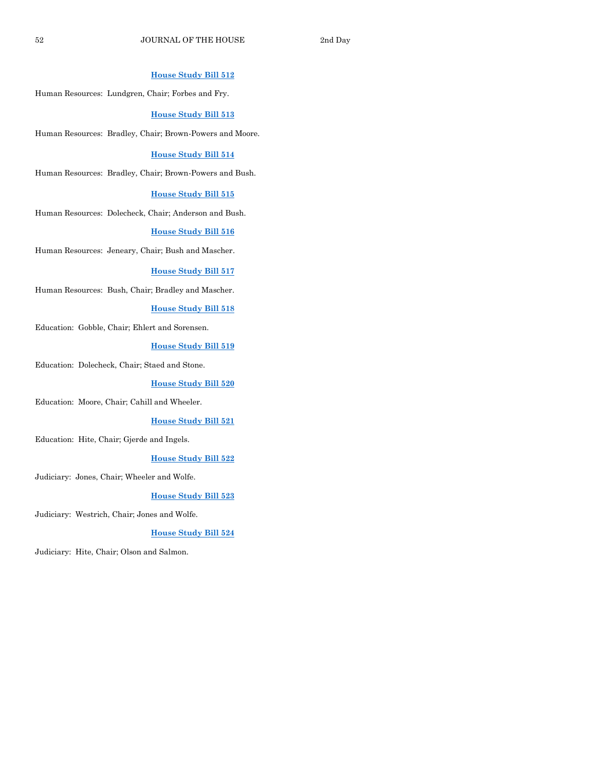## **[House Study Bill 512](https://www.legis.iowa.gov/legislation/BillBook?ga=89&ba=HSB512)**

Human Resources: Lundgren, Chair; Forbes and Fry.

#### **[House Study Bill 513](https://www.legis.iowa.gov/legislation/BillBook?ga=89&ba=HSB513)**

Human Resources: Bradley, Chair; Brown-Powers and Moore.

#### **[House Study Bill 514](https://www.legis.iowa.gov/legislation/BillBook?ga=89&ba=HSB514)**

Human Resources: Bradley, Chair; Brown-Powers and Bush.

#### **[House Study Bill 515](https://www.legis.iowa.gov/legislation/BillBook?ga=89&ba=HSB515)**

Human Resources: Dolecheck, Chair; Anderson and Bush.

#### **[House Study Bill 516](https://www.legis.iowa.gov/legislation/BillBook?ga=89&ba=HSB516)**

Human Resources: Jeneary, Chair; Bush and Mascher.

#### **[House Study Bill 517](https://www.legis.iowa.gov/legislation/BillBook?ga=89&ba=HSB517)**

Human Resources: Bush, Chair; Bradley and Mascher.

#### **[House Study Bill 518](https://www.legis.iowa.gov/legislation/BillBook?ga=89&ba=HSB518)**

Education: Gobble, Chair; Ehlert and Sorensen.

#### **[House Study Bill 519](https://www.legis.iowa.gov/legislation/BillBook?ga=89&ba=HSB519)**

Education: Dolecheck, Chair; Staed and Stone.

#### **[House Study Bill 520](https://www.legis.iowa.gov/legislation/BillBook?ga=89&ba=HSB520)**

Education: Moore, Chair; Cahill and Wheeler.

#### **[House Study Bill 521](https://www.legis.iowa.gov/legislation/BillBook?ga=89&ba=HSB521)**

Education: Hite, Chair; Gjerde and Ingels.

#### **[House Study Bill 522](https://www.legis.iowa.gov/legislation/BillBook?ga=89&ba=HSB522)**

Judiciary: Jones, Chair; Wheeler and Wolfe.

#### **[House Study Bill 523](https://www.legis.iowa.gov/legislation/BillBook?ga=89&ba=HSB523)**

Judiciary: Westrich, Chair; Jones and Wolfe.

#### **[House Study Bill 524](https://www.legis.iowa.gov/legislation/BillBook?ga=89&ba=HSB524)**

Judiciary: Hite, Chair; Olson and Salmon.